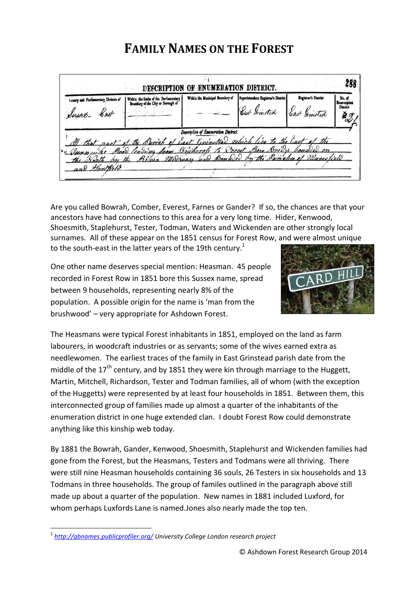## **FAMILY NAMES ON THE FOREST**

| County and Parliamentary Division of<br>Sussets Cast | Within the limits of the Parliamentary<br>Boundary of the City or Borough of                                    | Within the Municipal Boundary of                                                                 | Superintendent Registrar's District<br>Cast Grinstide | Registrar's District | No. of<br>Enumeration<br>District |
|------------------------------------------------------|-----------------------------------------------------------------------------------------------------------------|--------------------------------------------------------------------------------------------------|-------------------------------------------------------|----------------------|-----------------------------------|
| that nort<br>Sunny<br>and Harthild                   | the Barioh of East Grinotial which lies to the East of the<br>Boar leading from Bycharofs to Forest Born Bridge | Description of Enumeration District.<br>Bliven MeDruar and Bounded by the Barrishes of Manuelive |                                                       |                      |                                   |

Are you called Bowrah, Comber, Everest, Farnes or Gander? If so, the chances are that your ancestors have had connections to this area for a very long time. Hider, Kenwood, Shoesmith, Staplehurst, Tester, Todman, Waters and Wickenden are other strongly local surnames. All of these appear on the 1851 census for Forest Row, and were almost unique to the south-east in the latter years of the 19th century.<sup>1</sup>

One other name deserves special mention: Heasman. 45 people recorded in Forest Row in 1851 bore this Sussex name, spread between 9 households, representing nearly 8% of the population. A possible origin for the name is 'man from the brushwood' – very appropriate for Ashdown Forest.



The Heasmans were typical Forest inhabitants in 1851, employed on the land as farm labourers, in woodcraft industries or as servants; some of the wives earned extra as needlewomen. The earliest traces of the family in East Grinstead parish date from the middle of the  $17<sup>th</sup>$  century, and by 1851 they were kin through marriage to the Huggett, Martin, Mitchell, Richardson, Tester and Todman families, all of whom (with the exception of the Huggetts) were represented by at least four households in 1851. Between them, this interconnected group of families made up almost a quarter of the inhabitants of the enumeration district in one huge extended clan. I doubt Forest Row could demonstrate anything like this kinship web today.

By 1881 the Bowrah, Gander, Kenwood, Shoesmith, Staplehurst and Wickenden families had gone from the Forest, but the Heasmans, Testers and Todmans were all thriving. There were still nine Heasman households containing 36 souls, 26 Testers in six households and 13 Todmans in three households. The group of familes outlined in the paragraph above still made up about a quarter of the population. New names in 1881 included Luxford, for whom perhaps Luxfords Lane is named.Jones also nearly made the top ten.

**.** 

<sup>1</sup> *<http://gbnames.publicprofiler.org/> University College London research project*